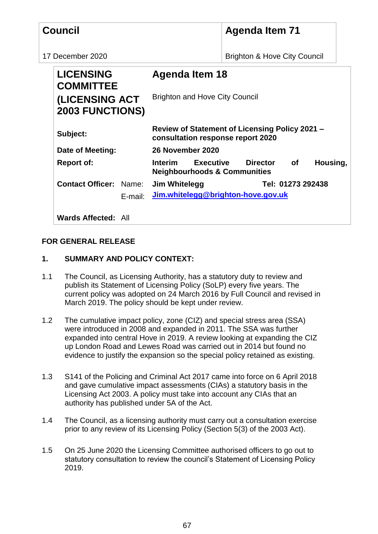|                  | <b>Council</b>                                                                   |  |                                                                                     | <b>Agenda Item 71</b>                    |  |
|------------------|----------------------------------------------------------------------------------|--|-------------------------------------------------------------------------------------|------------------------------------------|--|
| 17 December 2020 |                                                                                  |  |                                                                                     | <b>Brighton &amp; Hove City Council</b>  |  |
|                  | <b>LICENSING</b><br><b>COMMITTEE</b><br>(LICENSING ACT<br><b>2003 FUNCTIONS)</b> |  | <b>Agenda Item 18</b>                                                               |                                          |  |
|                  |                                                                                  |  | <b>Brighton and Hove City Council</b>                                               |                                          |  |
|                  | Subject:                                                                         |  | Review of Statement of Licensing Policy 2021 -<br>consultation response report 2020 |                                          |  |
|                  | Date of Meeting:<br><b>Report of:</b>                                            |  | 26 November 2020                                                                    |                                          |  |
|                  |                                                                                  |  | Interim Executive<br><b>Neighbourhoods &amp; Communities</b>                        | <b>Director</b><br><b>of</b><br>Housing, |  |
|                  | <b>Contact Officer: Name:</b>                                                    |  | <b>Jim Whitelegg</b>                                                                | Tel: 01273 292438                        |  |
|                  | E-mail:                                                                          |  | Jim.whitelegg@brighton-hove.gov.uk                                                  |                                          |  |
|                  | <b>Wards Affected: All</b>                                                       |  |                                                                                     |                                          |  |

## **FOR GENERAL RELEASE**

# **1. SUMMARY AND POLICY CONTEXT:**

- 1.1 The Council, as Licensing Authority, has a statutory duty to review and publish its Statement of Licensing Policy (SoLP) every five years. The current policy was adopted on 24 March 2016 by Full Council and revised in March 2019. The policy should be kept under review.
- 1.2 The cumulative impact policy, zone (CIZ) and special stress area (SSA) were introduced in 2008 and expanded in 2011. The SSA was further expanded into central Hove in 2019. A review looking at expanding the CIZ up London Road and Lewes Road was carried out in 2014 but found no evidence to justify the expansion so the special policy retained as existing.
- 1.3 S141 of the Policing and Criminal Act 2017 came into force on 6 April 2018 and gave cumulative impact assessments (CIAs) a statutory basis in the Licensing Act 2003. A policy must take into account any CIAs that an authority has published under 5A of the Act.
- 1.4 The Council, as a licensing authority must carry out a consultation exercise prior to any review of its Licensing Policy (Section 5(3) of the 2003 Act).
- 1.5 On 25 June 2020 the Licensing Committee authorised officers to go out to statutory consultation to review the council's Statement of Licensing Policy 2019.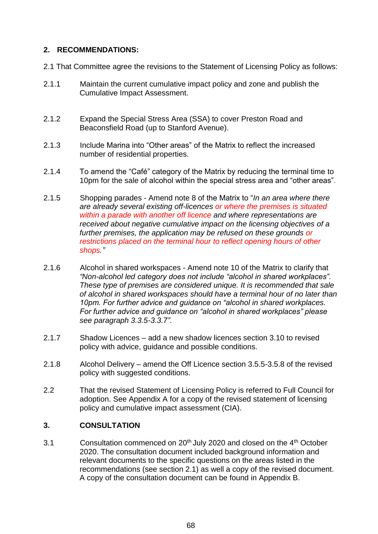### **2. RECOMMENDATIONS:**

- 2.1 That Committee agree the revisions to the Statement of Licensing Policy as follows:
- 2.1.1 Maintain the current cumulative impact policy and zone and publish the Cumulative Impact Assessment.
- 2.1.2 Expand the Special Stress Area (SSA) to cover Preston Road and Beaconsfield Road (up to Stanford Avenue).
- 2.1.3 Include Marina into "Other areas" of the Matrix to reflect the increased number of residential properties.
- 2.1.4 To amend the "Café" category of the Matrix by reducing the terminal time to 10pm for the sale of alcohol within the special stress area and "other areas".
- 2.1.5 Shopping parades Amend note 8 of the Matrix to "*In an area where there are already several existing off-licences or where the premises is situated within a parade with another off licence and where representations are received about negative cumulative impact on the licensing objectives of a further premises, the application may be refused on these grounds or restrictions placed on the terminal hour to reflect opening hours of other shops."*
- 2.1.6 Alcohol in shared workspaces Amend note 10 of the Matrix to clarify that *"Non-alcohol led category does not include "alcohol in shared workplaces". These type of premises are considered unique. It is recommended that sale of alcohol in shared workspaces should have a terminal hour of no later than 10pm. For further advice and guidance on "alcohol in shared workplaces. For further advice and guidance on "alcohol in shared workplaces" please see paragraph 3.3.5-3.3.7".*
- 2.1.7 Shadow Licences add a new shadow licences section 3.10 to revised policy with advice, guidance and possible conditions.
- 2.1.8 Alcohol Delivery amend the Off Licence section 3.5.5-3.5.8 of the revised policy with suggested conditions.
- 2.2 That the revised Statement of Licensing Policy is referred to Full Council for adoption. See Appendix A for a copy of the revised statement of licensing policy and cumulative impact assessment (CIA).

#### **3. CONSULTATION**

3.1 Consultation commenced on  $20<sup>th</sup>$  July 2020 and closed on the 4<sup>th</sup> October 2020. The consultation document included background information and relevant documents to the specific questions on the areas listed in the recommendations (see section 2.1) as well a copy of the revised document. A copy of the consultation document can be found in Appendix B.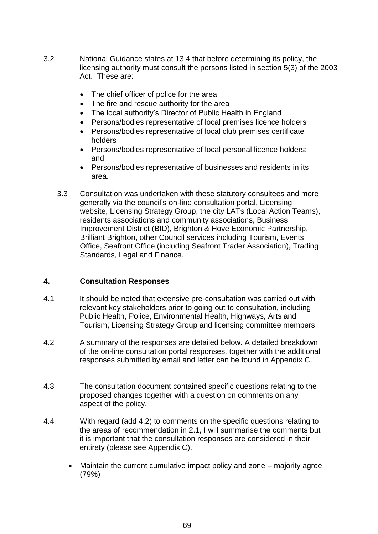- 3.2 National Guidance states at 13.4 that before determining its policy, the licensing authority must consult the persons listed in section 5(3) of the 2003 Act. These are:
	- The chief officer of police for the area
	- The fire and rescue authority for the area
	- The local authority's Director of Public Health in England
	- Persons/bodies representative of local premises licence holders
	- Persons/bodies representative of local club premises certificate holders
	- Persons/bodies representative of local personal licence holders; and
	- Persons/bodies representative of businesses and residents in its area.
	- 3.3 Consultation was undertaken with these statutory consultees and more generally via the council's on-line consultation portal, Licensing website, Licensing Strategy Group, the city LATs (Local Action Teams), residents associations and community associations, Business Improvement District (BID), Brighton & Hove Economic Partnership, Brilliant Brighton, other Council services including Tourism, Events Office, Seafront Office (including Seafront Trader Association), Trading Standards, Legal and Finance.

#### **4. Consultation Responses**

- 4.1 It should be noted that extensive pre-consultation was carried out with relevant key stakeholders prior to going out to consultation, including Public Health, Police, Environmental Health, Highways, Arts and Tourism, Licensing Strategy Group and licensing committee members.
- 4.2 A summary of the responses are detailed below. A detailed breakdown of the on-line consultation portal responses, together with the additional responses submitted by email and letter can be found in Appendix C.
- 4.3 The consultation document contained specific questions relating to the proposed changes together with a question on comments on any aspect of the policy.
- 4.4 With regard (add 4.2) to comments on the specific questions relating to the areas of recommendation in 2.1, I will summarise the comments but it is important that the consultation responses are considered in their entirety (please see Appendix C).
	- Maintain the current cumulative impact policy and zone majority agree (79%)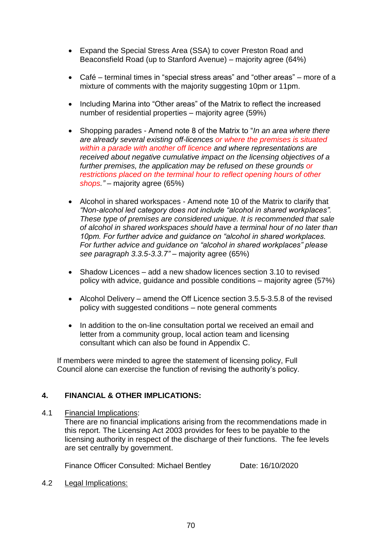- Expand the Special Stress Area (SSA) to cover Preston Road and Beaconsfield Road (up to Stanford Avenue) – majority agree (64%)
- Café terminal times in "special stress areas" and "other areas" more of a mixture of comments with the majority suggesting 10pm or 11pm.
- Including Marina into "Other areas" of the Matrix to reflect the increased number of residential properties – majority agree (59%)
- Shopping parades Amend note 8 of the Matrix to "*In an area where there are already several existing off-licences or where the premises is situated within a parade with another off licence and where representations are received about negative cumulative impact on the licensing objectives of a further premises, the application may be refused on these grounds or restrictions placed on the terminal hour to reflect opening hours of other shops."* – majority agree (65%)
- Alcohol in shared workspaces Amend note 10 of the Matrix to clarify that *"Non-alcohol led category does not include "alcohol in shared workplaces". These type of premises are considered unique. It is recommended that sale of alcohol in shared workspaces should have a terminal hour of no later than 10pm. For further advice and guidance on "alcohol in shared workplaces. For further advice and guidance on "alcohol in shared workplaces" please see paragraph 3.3.5-3.3.7"* – majority agree (65%)
- Shadow Licences add a new shadow licences section 3.10 to revised policy with advice, guidance and possible conditions – majority agree (57%)
- Alcohol Delivery amend the Off Licence section 3.5.5-3.5.8 of the revised policy with suggested conditions – note general comments
- In addition to the on-line consultation portal we received an email and letter from a community group, local action team and licensing consultant which can also be found in Appendix C.

If members were minded to agree the statement of licensing policy, Full Council alone can exercise the function of revising the authority's policy.

## **4. FINANCIAL & OTHER IMPLICATIONS:**

#### 4.1 Financial Implications:

There are no financial implications arising from the recommendations made in this report. The Licensing Act 2003 provides for fees to be payable to the licensing authority in respect of the discharge of their functions. The fee levels are set centrally by government.

Finance Officer Consulted: Michael Bentley Date: 16/10/2020

4.2 Legal Implications: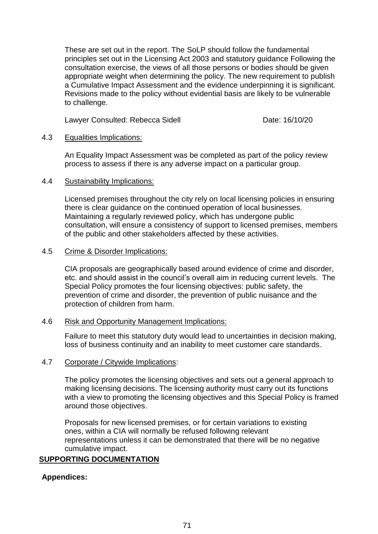These are set out in the report. The SoLP should follow the fundamental principles set out in the Licensing Act 2003 and statutory guidance Following the consultation exercise, the views of all those persons or bodies should be given appropriate weight when determining the policy. The new requirement to publish a Cumulative Impact Assessment and the evidence underpinning it is significant. Revisions made to the policy without evidential basis are likely to be vulnerable to challenge.

Lawyer Consulted: Rebecca Sidell **Date: 16/10/20** 

#### 4.3 Equalities Implications:

An Equality Impact Assessment was be completed as part of the policy review process to assess if there is any adverse impact on a particular group.

#### 4.4 Sustainability Implications:

Licensed premises throughout the city rely on local licensing policies in ensuring there is clear guidance on the continued operation of local businesses. Maintaining a regularly reviewed policy, which has undergone public consultation, will ensure a consistency of support to licensed premises, members of the public and other stakeholders affected by these activities.

#### 4.5 Crime & Disorder Implications:

CIA proposals are geographically based around evidence of crime and disorder, etc. and should assist in the council's overall aim in reducing current levels. The Special Policy promotes the four licensing objectives: public safety, the prevention of crime and disorder, the prevention of public nuisance and the protection of children from harm.

#### 4.6 Risk and Opportunity Management Implications:

Failure to meet this statutory duty would lead to uncertainties in decision making, loss of business continuity and an inability to meet customer care standards.

#### 4.7 Corporate / Citywide Implications:

The policy promotes the licensing objectives and sets out a general approach to making licensing decisions. The licensing authority must carry out its functions with a view to promoting the licensing objectives and this Special Policy is framed around those objectives.

Proposals for new licensed premises, or for certain variations to existing ones, within a CIA will normally be refused following relevant representations unless it can be demonstrated that there will be no negative cumulative impact.

## **SUPPORTING DOCUMENTATION**

## **Appendices:**